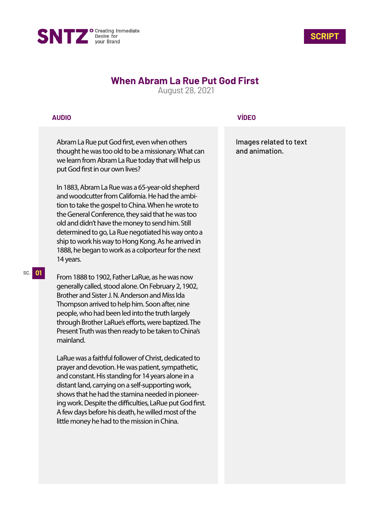



# **When Abram La Rue Put God First**

August 28, 2021

### **AUDIO**

Abram La Rue put God first, even when others thought he was too old to be a missionary. What can we learn from Abram La Rue today that will help us put God first in our own lives?

In 1883, Abram La Rue was a 65-year-old shepherd and woodcutter from California. He had the ambition to take the gospel to China. When he wrote to the General Conference, they said that he was too old and didn't have the money to send him. Still determined to go, La Rue negotiated his way onto a ship to work his way to Hong Kong. As he arrived in 1888, he began to work as a colporteur for the next 14 years.

From 1888 to 1902, Father LaRue, as he was now generally called, stood alone. On February 2, 1902, Brother and Sister J. N. Anderson and Miss Ida Thompson arrived to help him. Soon after, nine people, who had been led into the truth largely through Brother LaRue's efforts, were baptized. The Present Truth was then ready to be taken to China's mainland.

LaRue was a faithful follower of Christ, dedicated to prayer and devotion. He was patient, sympathetic, and constant. His standing for 14 years alone in a distant land, carrying on a self-supporting work, shows that he had the stamina needed in pioneering work. Despite the difficulties, LaRue put God first. A few days before his death, he willed most of the little money he had to the mission in China.

## **VÍDEO**

Images related to text and animation.

#### **SC. 01**